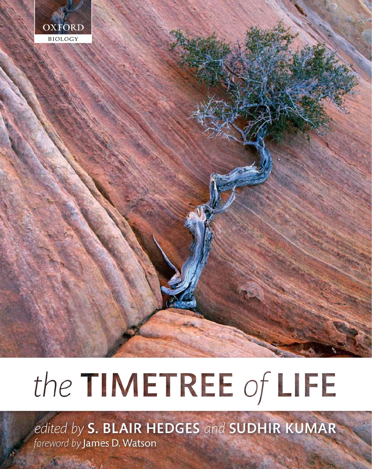

# the TIMETREE of LIFE

edited by S. BLAIR HEDGES and SUDHIR KUMAR foreword by James D. Watson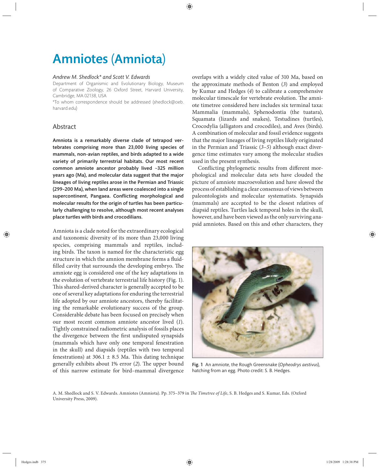# Amniotes (Amniota)

## *Andrew M. Shedlock\* and Scott V. Edwards*

Department of Organismic and Evolutionary Biology, Museum of Comparative Zoology, 26 Oxford Street, Harvard University, Cambridge, MA 02138, USA

\*To whom correspondence should be addressed (shedlock@oeb. harvard.edu)

# Abstract

Amniota is a remarkably diverse clade of tetrapod vertebrates comprising more than 23,000 living species of mammals, non-avian reptiles, and birds adapted to a wide variety of primarily terrestrial habitats. Our most recent common amniote ancestor probably lived ~325 million years ago (Ma), and molecular data suggest that the major lineages of living reptiles arose in the Permian and Triassic (299–200 Ma), when land areas were coalesced into a single supercontinent, Pangaea. Conflicting morphological and molecular results for the origin of turtles has been particularly challenging to resolve, although most recent analyses place turtles with birds and crocodilians.

Amniota is a clade noted for the extraordinary ecological and taxonomic diversity of its more than 23,000 living species, comprising mammals and reptiles, including birds. The taxon is named for the characteristic egg structure in which the amnion membrane forms a fluidfilled cavity that surrounds the developing embryo. The amniote egg is considered one of the key adaptations in the evolution of vertebrate terrestrial life history (Fig. 1). This shared-derived character is generally accepted to be one of several key adaptations for enduring the terrestrial life adopted by our amniote ancestors, thereby facilitating the remarkable evolutionary success of the group. Considerable debate has been focused on precisely when our most recent common amniote ancestor lived (*1*). Tightly constrained radiometric analysis of fossils places the divergence between the first undisputed synapsids (mammals which have only one temporal fenestration in the skull) and diapsids (reptiles with two temporal fenestrations) at 306.1  $\pm$  8.5 Ma. This dating technique generally exhibits about 1% error (2). The upper bound of this narrow estimate for bird–mammal divergence

overlaps with a widely cited value of 310 Ma, based on the approximate methods of Benton (*3*) and employed by Kumar and Hedges (*4*) to calibrate a comprehensive molecular timescale for vertebrate evolution. The amniote timetree considered here includes six terminal taxa: Mammalia (mammals), Sphenodontia (the tuatara), Squamata (lizards and snakes), Testudines (turtles), Crocodylia (alligators and crocodiles), and Aves (birds). A combination of molecular and fossil evidence suggests that the major lineages of living reptiles likely originated in the Permian and Triassic (*3–5*) although exact divergence time estimates vary among the molecular studies used in the present synthesis.

Conflicting phylogenetic results from different morphological and molecular data sets have clouded the picture of amniote macroevolution and have slowed the process of establishing a clear consensus of views between paleontologists and molecular systematists. Synapsids (mammals) are accepted to be the closest relatives of diapsid reptiles. Turtles lack temporal holes in the skull, however, and have been viewed as the only surviving anapsid amniotes. Based on this and other characters, they



Fig. 1 An amniote, the Rough Greensnake (*Opheodrys aestivus*), hatching from an egg. Photo credit: S. B. Hedges.

A. M. Shedlock and S. V. Edwards. Amniotes (Amniota). Pp. 375-379 in *The Timetree of Life*, S. B. Hedges and S. Kumar, Eds. (Oxford University Press, 2009).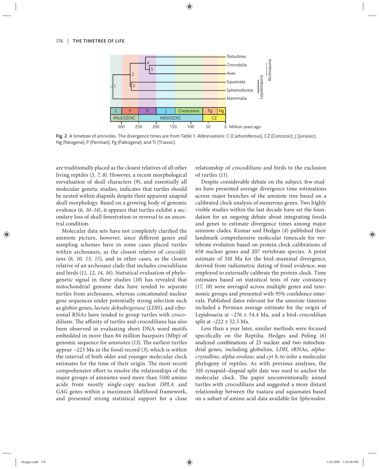

Fig. 2 A timetree of amniotes. The divergence times are from Table 1. *Abbreviations*: C (Carboniferous), CZ (Cenozoic), J (Jurassic), Ng (Neogene), P (Permian), Pg (Paleogene), and Tr (Triassic).

are traditionally placed as the closest relatives of all other living reptiles (*5, 7, 8*). However, a recent morphological reevaluation of skull characters (*9*), and essentially all molecular genetic studies, indicates that turtles should be nested within diapsids despite their apparent anapsid skull morphology. Based on a growing body of genomic evidence (*6, 10–14*), it appears that turtles exhibit a secondary loss of skull fenestration or reversal to an ancestral condition.

Molecular data sets have not completely clarified the amniote picture, however, since different genes and sampling schemes have in some cases placed turtles within archosaurs, as the closest relative of crocodilians (*6, 10, 13, 15*), and in other cases, as the closest relative of an archosaur clade that includes crocodilians and birds (*11, 12, 14, 16*). Statistical evaluation of phylogenetic signal in these studies (*10*) has revealed that mitochondrial genome data have tended to separate turtles from archosaurs, whereas concatenated nuclear gene sequences under potentially strong selection such as globin genes, *lactate dehydrogenase* (*LDH*), and ribosomal RNAs have tended to group turtles with crocodilians. The affinity of turtles and crocodilians has also been observed in evaluating short DNA word motifs embedded in more than 84 million basepairs (Mbp) of genomic sequence for amniotes (13). The earliest turtles appear ~223 Ma in the fossil record (*3*), which is within the interval of both older and younger molecular clock estimates for the time of their origin. The most recent comprehensive effort to resolve the relationships of the major groups of amniotes used more than 5100 amino acids from mostly single-copy nuclear *DPLA* and *GAG* genes within a maximum likelihood framework, and presented strong statistical support for a close relationship of crocodilians and birds to the exclusion of turtles (*11*).

Despite considerable debate on the subject, few studies have presented average divergence time estimations across major branches of the amniote tree based on a calibrated clock analysis of numerous genes. Two highly visible studies within the last decade have set the foundation for an ongoing debate about integrating fossils and genes to estimate divergence times among major amniote clades. Kumar and Hedges (*4*) published their landmark comprehensive molecular timescale for vertebrate evolution based on protein clock calibrations of 658 nuclear genes and 207 vertebrate species. A point estimate of 310 Ma for the bird–mammal divergence, derived from radiometric dating of fossil evidence, was employed to externally calibrate the protein clock. Time estimates based on statistical tests of rate constancy (17, 18) were averaged across multiple genes and taxonomic groups and presented with 95% confidence intervals. Published dates relevant for the amniote timetree included a Permian average estimate for the origin of Lepidosaria at  $\sim$ 276  $\pm$  54.4 Ma, and a bird–crocodilian split at  $\sim$ 222 ± 52.5 Ma.

Less than a year later, similar methods were focused specifically on the Reptilia. Hedges and Poling (6) analyzed combinations of 23 nuclear and two mitochondrial genes, inclu ding globu lins, *LDH*, rRNAs, *alpha crystalline*, *alpha-enolase*, and *cyt b*, to infer a molecular phylogeny of reptiles. As with previous analyses, the 310 synapsid–diapsid split date was used to anchor the molecular clock. The paper unconventionally joined turtles with crocodilians and suggested a more distant relationship between the tuatara and squamates based on a subset of amino acid data available for *Sphenodon*.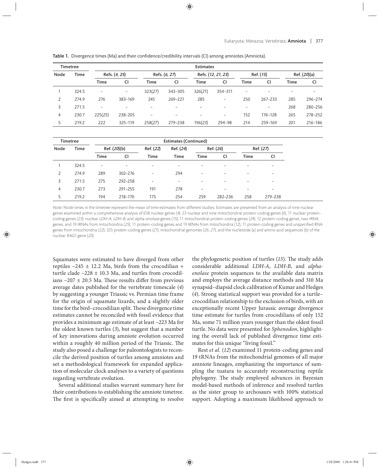| <b>Timetree</b> |             | <b>Estimates</b> |                          |                          |                          |                          |                          |                          |         |                          |         |  |
|-----------------|-------------|------------------|--------------------------|--------------------------|--------------------------|--------------------------|--------------------------|--------------------------|---------|--------------------------|---------|--|
| Node            | <b>Time</b> | Refs. (4, 25)    |                          | Refs. (6, 27)            |                          | Refs. (12, 21, 23)       |                          | Ref. (15)                |         | Ref. (20)(a)             |         |  |
|                 |             | Time             | <b>CI</b>                | <b>Time</b>              | <b>CI</b>                | <b>Time</b>              | CI                       | Time                     | CI      | <b>Time</b>              | CI      |  |
|                 | 324.5       | $\overline{a}$   | $\overline{\phantom{a}}$ | 323(27)                  | 343-305                  | 326(21)                  | 354-311                  | $\overline{\phantom{a}}$ |         | $\overline{\phantom{0}}$ |         |  |
| 2               | 274.9       | 276              | 383-169                  | 245                      | 269-221                  | 285                      | $\qquad \qquad -$        | 250                      | 267-233 | 285                      | 296-274 |  |
| 3               | 271.5       |                  |                          |                          |                          |                          |                          |                          |         | 268                      | 280-256 |  |
| 4               | 230.7       | 225(25)          | 238-205                  | $\overline{\phantom{0}}$ | $\overline{\phantom{0}}$ | $\overline{\phantom{0}}$ | $\overline{\phantom{0}}$ | 152                      | 176-128 | 265                      | 278-252 |  |
| 5               | 219.2       | 222              | 325-119                  | 258(27)                  | 279-238                  | 196(23)                  | 294-98                   | 214                      | 259-169 | 201                      | 216-186 |  |

Table 1. Divergence times (Ma) and their confidence/credibility intervals (CI) among amniotes (Amniota).

| <b>Timetree</b> |             | <b>Estimates (Continued)</b> |             |                          |           |                          |                          |             |                          |  |
|-----------------|-------------|------------------------------|-------------|--------------------------|-----------|--------------------------|--------------------------|-------------|--------------------------|--|
| Node            | <b>Time</b> | Ref. (20)(b)                 |             | Ref. (22)                | Ref. (24) | Ref. (26)                |                          | Ref. (27)   |                          |  |
|                 |             | Time                         | CI          | <b>Time</b>              | Time      | <b>Time</b>              | CI                       | <b>Time</b> | CI                       |  |
|                 | 324.5       | $\overline{\phantom{0}}$     |             |                          |           | $\qquad \qquad$          |                          |             | $\qquad \qquad$          |  |
| 2               | 274.9       | 289                          | $302 - 276$ | $\overline{\phantom{0}}$ | 294       | $\overline{\phantom{0}}$ | $\overline{\phantom{0}}$ |             | $\qquad \qquad$          |  |
| 3               | 271.5       | 275                          | 292-258     | $\overline{\phantom{0}}$ |           | $\qquad \qquad$          |                          |             | $\overline{\phantom{0}}$ |  |
| 4               | 230.7       | 273                          | 291-255     | 191                      | 278       | $\overline{\phantom{0}}$ |                          |             | $\qquad \qquad$          |  |
| 5               | 219.2       | 194                          | 218-170     | 175                      | 254       | 259                      | 282-236                  | 258         | 279-238                  |  |

Note: Node times in the timetree represent the mean of time estimates from different studies. Estimates are presented from an analysis of nine nuclear genes examined within a comprehensive analysis of 658 nuclear genes (4); 23 nuclear and nine mitochondrial protein-coding genes (6), 11 nuclear proteincoding genes (23); nuclear LDH-A, LDH-B, and alpha-enolase genes (15); 11 mitochondrial protein-coding genes (24); 12 protein-coding genes, two rRNA genes, and 19 tRNAs from mitochondria (25); 11 protein-coding genes and 19 tRNAs from mitochondria (12), 11 protein-coding genes and unspecified RNA genes from mitochondria (22); 325 protein-coding genes (21), mitochondrial genomes (26, 27), and the nucleotide (a) and amino acid sequences (b) of the nuclear RAG1 gene (20).

Squamates were estimated to have diverged from other reptiles  $\sim$ 245  $\pm$  12.2 Ma, birds from the crocodilian + turtle clade  $\sim$ 228  $\pm$  10.3 Ma, and turtles from crocodilians  $\sim$ 207  $\pm$  20.5 Ma. These results differ from previous average dates published for the vertebrate timescale (*4*) by suggesting a younger Triassic vs. Permian time frame for the origin of squamate lizards, and a slightly older time for the bird–crocodilian split. These divergence time estimates cannot be reconciled with fossil evidence that provides a minimum age estimate of at least ~223 Ma for the oldest known turtles (*3*), but suggest that a number of key innovations during amniote evolution occurred within a roughly 40 million period of the Triassic. The study also posed a challenge for paleontologists to reconcile the derived position of turtles among amniotes and set a methodological framework for expanded application of molecular clock analyses to a variety of questions regarding vertebrate evolution.

Several additional studies warrant summary here for their contributions to establishing the amniote timetree. The first is specifically aimed at attempting to resolve the phylogenetic position of turtles (15). The study adds considerable additional *LDH-A*, *LDH-B*, and *alpha*enolase protein sequences to the available data matrix and employs the average distance methods and 310 Ma synapsid–diapsid clock calibration of Kumar and Hedges (*4*). Strong statistical support was provided for a turtle– crocodilian relationship to the exclusion of birds, with an exceptionally recent Upper Jurassic average divergence time estimate for turtles from crocodilians of only 152 Ma, some 71 million years younger than the oldest fossil turtle. No data were presented for *Sphenodon*, highlighting the overall lack of published divergence time estimates for this unique "living fossil."

Rest *et al.* (*12*) examined 11 protein-coding genes and 19 tRNAs from the mitochondrial genomes of all major amniote lineages, emphasizing the importance of sampling the tuatara to accurately reconstructing reptile phylogeny. The study employed advances in Bayesian model-based methods of inference and resolved turtles as the sister group to archosaurs with 100% statistical support. Adopting a maximum likelihood approach to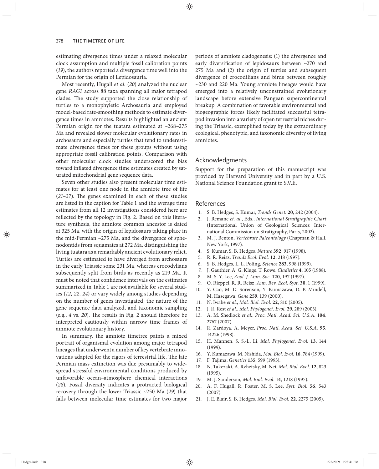estimating divergence times under a relaxed molecular clock assumption and multiple fossil calibration points (*19*), the authors reported a divergence time well into the Permian for the origin of Lepidosauria.

Most recently, Hugall *et al.* (*20*) analyzed the nuclear gene *RAG1* across 88 taxa spanning all major tetrapod clades. The study supported the close relationship of turtles to a monophyletic Archosauria and employed model-based rate-smoothing methods to estimate divergence times in amniotes. Results highlighted an ancient Permian origin for the tuatara estimated at  $~268-275$ Ma and revealed slower molecular evolutionary rates in archosaurs and especially turtles that tend to underestimate divergence times for these groups without using appropriate fossil calibration points. Comparison with other molecular clock studies underscored the bias toward inflated divergence time estimates created by saturated mitochondrial gene sequence data.

Seven other studies also present molecular time estimates for at least one node in the amniote tree of life  $(21-27)$ . The genes examined in each of these studies are listed in the caption for Table 1 and the average time estimates from all 12 investigations considered here are reflected by the topology in Fig. 2. Based on this literature synthesis, the amniote common ancestor is dated at 325 Ma, with the origin of lepidosaurs taking place in the mid-Permian ~275 Ma, and the divergence of sphenodontids from squamates at 272 Ma, distinguishing the living tuatara as a remarkably ancient evolutionary relict. Turtles are estimated to have diverged from archosaurs in the early Triassic some 231 Ma, whereas crocodylians subsequently split from birds as recently as 219 Ma. It must be noted that confidence intervals on the estimates summarized in Table 1 are not available for several studies (*12, 22, 24*) or vary widely among studies depending on the number of genes investigated, the nature of the gene sequence data analyzed, and taxonomic sampling (e.g., 4 vs. 20). The results in Fig. 2 should therefore be interpreted cautiously within narrow time frames of amniote evolutionary history.

In summary, the amniote timetree paints a mixed portrait of organismal evolution among major tetrapod lineages that underwent a number of key vertebrate innovations adapted for the rigors of terrestrial life. The late Permian mass extinction was due presumably to widespread stressful environmental conditions produced by unfavorable ocean–atmosphere chemical interactions (*28*). Fossil diversity indicates a protracted biological recovery through the lower Triassic ~250 Ma (29) that falls between molecular time estimates for two major periods of amniote cladogenesis: (1) the divergence and early diversification of lepidosaurs between  $\sim$ 270 and  $275$  Ma and  $(2)$  the origin of turtles and subsequent divergence of crocodilians and birds between roughly ~230 and 220 Ma. Young amniote lineages would have emerged into a relatively unconstrained evolutionary landscape before extensive Pangean supercontinental breakup. A combination of favorable environmental and biogeographic forces likely facilitated successful tetrapod invasion into a variety of open terrestrial niches during the Triassic, exemplified today by the extraordinary ecological, phenotypic, and taxonomic diversity of living amniotes.

#### Acknowledgments

Support for the preparation of this manuscript was provided by Harvard University and in part by a U.S. National Science Foundation grant to S.V.E.

### References

- 1. S. B. Hedges, S. Kumar, *Trends Genet.* **20**, 242 (2004).
- 2. J. Remane *et. al.*, Eds., *International Stratigraphic Chart* (International Union of Geological Sciences: International Commission on Stratigraphy, Paris, 2002).
- 3. M. J. Benton, *Vertebrate Paleontology* (Chapman & Hall, New York, 1997).
- 4. S. Kumar, S. B. Hedges, *Nature* **392**, 917 (1998).
- 5. R. R. Reisz, *Trends Ecol. Evol.* **12**, 218 (1997).
- 6. S. B. Hedges, L. L. Poling, *Science* **283**, 998 (1999).
- 7. J. Gauthier, A. G. Kluge, T. Rowe, *Cladistics* **4**, 105 (1988).
- 8. M. S. Y. Lee, *Zool. J. Linn. Soc.* **120**, 197 (1997).
- 9. O. Rieppel, R. R. Reisz, *Ann. Rev. Ecol. Syst.* **30**, 1 (1999).
- 10. Y. Cao, M. D. Sorenson, Y. Kumazawa, D. P. Mindell, M. Hasegawa, *Gene* **259**, 139 (2000).
- 11. N. Iwabe *et al.*, *Mol. Biol. Evol.* **22**, 810 (2005).
- 12. J. R. Rest *et al.*, *Mol. Phylogenet. Evol.* **29**, 289 (2003).
- 13. A. M. Shedlock *et al.*, *Proc. Natl. Acad. Sci. U.S.A.* **104**, 2767 (2007).
- 14. R. Zardoya, A. Meyer, *Proc. Natl. Acad. Sci. U.S.A.* **95**, 14226 (1998).
- 15. H. Mannen, S. S.-L. Li, *Mol. Phylogenet. Evol.* **13**, 144 (1999).
- 16. Y. Kumazawa, M. Nishida, *Mol. Biol. Evol.* **16**, 784 (1999).
- 17. F. Tajima, *Genetics* **135**, 599 (1993).
- 18. N. Takezaki, A. Rzhetsky, M. Nei, *Mol. Biol. Evol.* **12**, 823 (1995).
- 19. M. J. Sanderson, *Mol. Biol. Evol.* **14**, 1218 (1997).
- 20. A. F. Hu gall, R. Foster, M. S. Lee, *Syst. Biol.* **56**, 543 (2007).
- 21. J. E. Blair, S. B. Hedges, *Mol. Biol. Evol.* **22**, 2275 (2005).